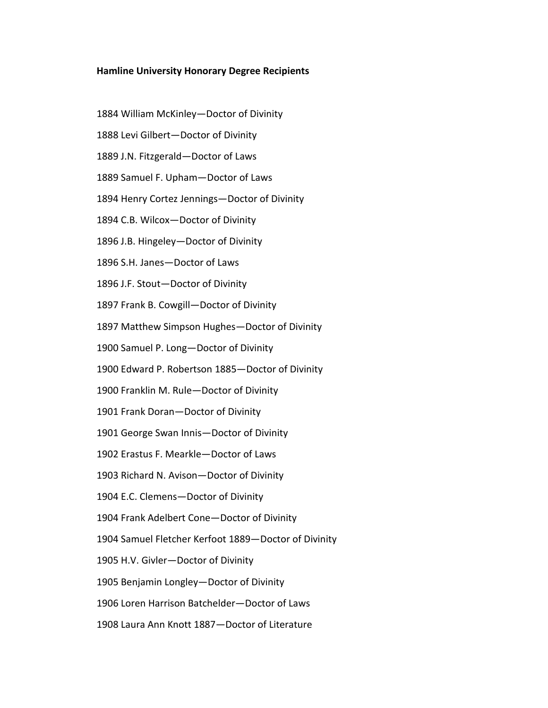## **Hamline University Honorary Degree Recipients**

- 1884 William McKinley—Doctor of Divinity
- 1888 Levi Gilbert—Doctor of Divinity
- 1889 J.N. Fitzgerald—Doctor of Laws
- 1889 Samuel F. Upham—Doctor of Laws
- 1894 Henry Cortez Jennings—Doctor of Divinity
- 1894 C.B. Wilcox—Doctor of Divinity
- 1896 J.B. Hingeley—Doctor of Divinity
- 1896 S.H. Janes—Doctor of Laws
- 1896 J.F. Stout—Doctor of Divinity
- 1897 Frank B. Cowgill—Doctor of Divinity
- 1897 Matthew Simpson Hughes—Doctor of Divinity
- 1900 Samuel P. Long—Doctor of Divinity
- 1900 Edward P. Robertson 1885—Doctor of Divinity
- 1900 Franklin M. Rule—Doctor of Divinity
- 1901 Frank Doran—Doctor of Divinity
- 1901 George Swan Innis—Doctor of Divinity
- 1902 Erastus F. Mearkle—Doctor of Laws
- 1903 Richard N. Avison—Doctor of Divinity
- 1904 E.C. Clemens—Doctor of Divinity
- 1904 Frank Adelbert Cone—Doctor of Divinity
- 1904 Samuel Fletcher Kerfoot 1889—Doctor of Divinity
- 1905 H.V. Givler—Doctor of Divinity
- 1905 Benjamin Longley—Doctor of Divinity
- 1906 Loren Harrison Batchelder—Doctor of Laws
- 1908 Laura Ann Knott 1887—Doctor of Literature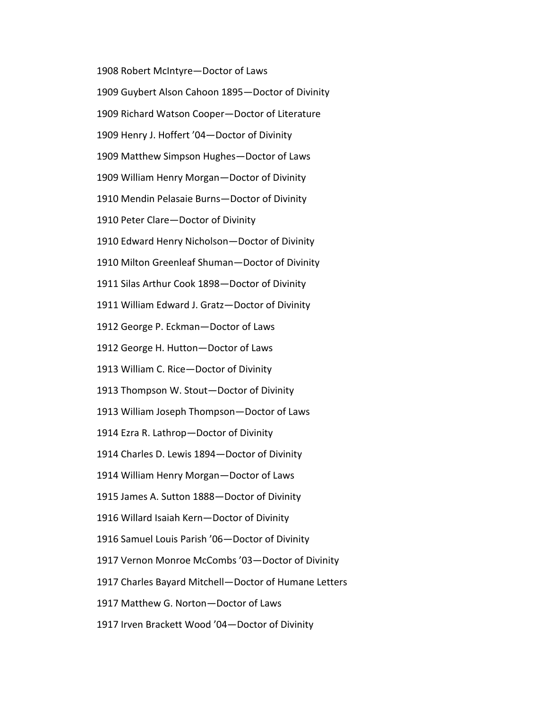1908 Robert McIntyre—Doctor of Laws 1909 Guybert Alson Cahoon 1895—Doctor of Divinity 1909 Richard Watson Cooper—Doctor of Literature 1909 Henry J. Hoffert '04—Doctor of Divinity 1909 Matthew Simpson Hughes—Doctor of Laws 1909 William Henry Morgan—Doctor of Divinity 1910 Mendin Pelasaie Burns—Doctor of Divinity 1910 Peter Clare—Doctor of Divinity 1910 Edward Henry Nicholson—Doctor of Divinity 1910 Milton Greenleaf Shuman—Doctor of Divinity 1911 Silas Arthur Cook 1898—Doctor of Divinity 1911 William Edward J. Gratz—Doctor of Divinity 1912 George P. Eckman—Doctor of Laws 1912 George H. Hutton—Doctor of Laws 1913 William C. Rice—Doctor of Divinity 1913 Thompson W. Stout—Doctor of Divinity 1913 William Joseph Thompson—Doctor of Laws 1914 Ezra R. Lathrop—Doctor of Divinity 1914 Charles D. Lewis 1894—Doctor of Divinity 1914 William Henry Morgan—Doctor of Laws 1915 James A. Sutton 1888—Doctor of Divinity 1916 Willard Isaiah Kern—Doctor of Divinity 1916 Samuel Louis Parish '06—Doctor of Divinity 1917 Vernon Monroe McCombs '03—Doctor of Divinity 1917 Charles Bayard Mitchell—Doctor of Humane Letters 1917 Matthew G. Norton—Doctor of Laws 1917 Irven Brackett Wood '04—Doctor of Divinity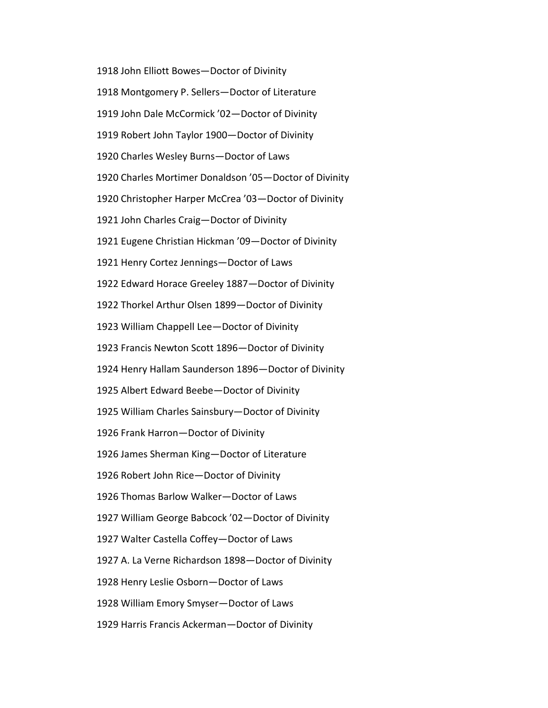1918 John Elliott Bowes—Doctor of Divinity 1918 Montgomery P. Sellers—Doctor of Literature 1919 John Dale McCormick '02—Doctor of Divinity 1919 Robert John Taylor 1900—Doctor of Divinity 1920 Charles Wesley Burns—Doctor of Laws 1920 Charles Mortimer Donaldson '05—Doctor of Divinity 1920 Christopher Harper McCrea '03—Doctor of Divinity 1921 John Charles Craig—Doctor of Divinity 1921 Eugene Christian Hickman '09—Doctor of Divinity 1921 Henry Cortez Jennings—Doctor of Laws 1922 Edward Horace Greeley 1887—Doctor of Divinity 1922 Thorkel Arthur Olsen 1899—Doctor of Divinity 1923 William Chappell Lee—Doctor of Divinity 1923 Francis Newton Scott 1896—Doctor of Divinity 1924 Henry Hallam Saunderson 1896—Doctor of Divinity 1925 Albert Edward Beebe—Doctor of Divinity 1925 William Charles Sainsbury—Doctor of Divinity 1926 Frank Harron—Doctor of Divinity 1926 James Sherman King—Doctor of Literature 1926 Robert John Rice—Doctor of Divinity 1926 Thomas Barlow Walker—Doctor of Laws 1927 William George Babcock '02—Doctor of Divinity 1927 Walter Castella Coffey—Doctor of Laws 1927 A. La Verne Richardson 1898—Doctor of Divinity 1928 Henry Leslie Osborn—Doctor of Laws 1928 William Emory Smyser—Doctor of Laws 1929 Harris Francis Ackerman—Doctor of Divinity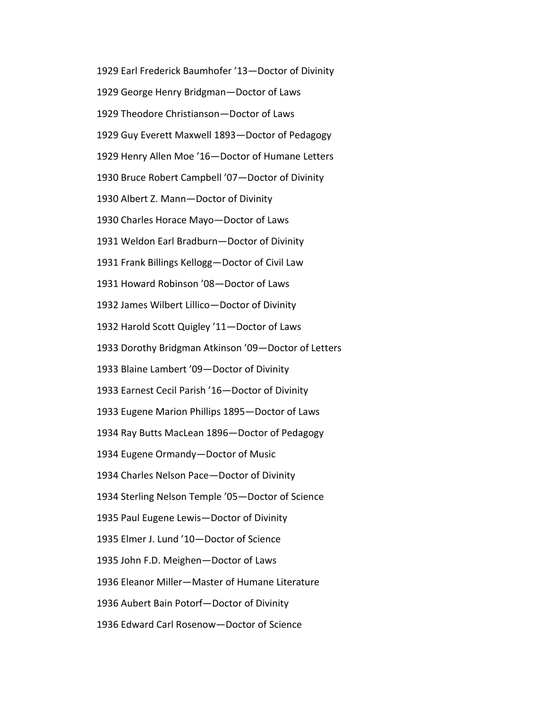1929 Earl Frederick Baumhofer '13—Doctor of Divinity 1929 George Henry Bridgman—Doctor of Laws 1929 Theodore Christianson—Doctor of Laws 1929 Guy Everett Maxwell 1893—Doctor of Pedagogy 1929 Henry Allen Moe '16—Doctor of Humane Letters 1930 Bruce Robert Campbell '07—Doctor of Divinity 1930 Albert Z. Mann—Doctor of Divinity 1930 Charles Horace Mayo—Doctor of Laws 1931 Weldon Earl Bradburn—Doctor of Divinity 1931 Frank Billings Kellogg—Doctor of Civil Law 1931 Howard Robinson '08—Doctor of Laws 1932 James Wilbert Lillico—Doctor of Divinity 1932 Harold Scott Quigley '11—Doctor of Laws 1933 Dorothy Bridgman Atkinson '09—Doctor of Letters 1933 Blaine Lambert '09—Doctor of Divinity 1933 Earnest Cecil Parish '16—Doctor of Divinity 1933 Eugene Marion Phillips 1895—Doctor of Laws 1934 Ray Butts MacLean 1896—Doctor of Pedagogy 1934 Eugene Ormandy—Doctor of Music 1934 Charles Nelson Pace—Doctor of Divinity 1934 Sterling Nelson Temple '05—Doctor of Science 1935 Paul Eugene Lewis—Doctor of Divinity 1935 Elmer J. Lund '10—Doctor of Science 1935 John F.D. Meighen—Doctor of Laws 1936 Eleanor Miller—Master of Humane Literature 1936 Aubert Bain Potorf—Doctor of Divinity 1936 Edward Carl Rosenow—Doctor of Science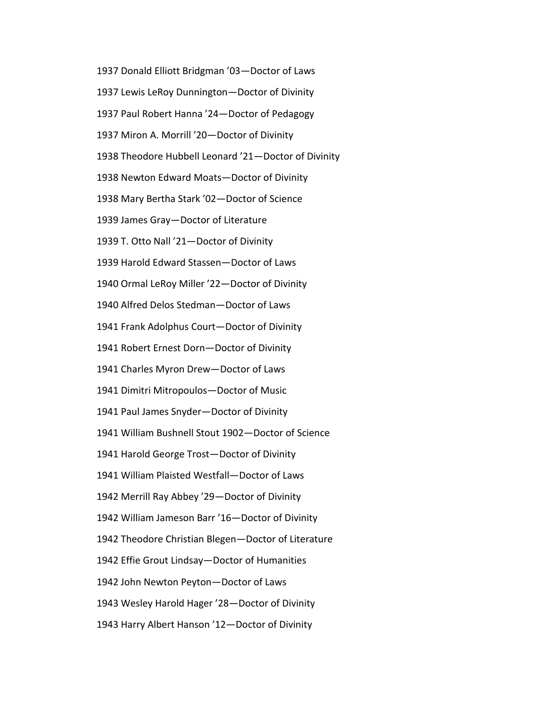1937 Donald Elliott Bridgman '03—Doctor of Laws 1937 Lewis LeRoy Dunnington—Doctor of Divinity 1937 Paul Robert Hanna '24—Doctor of Pedagogy 1937 Miron A. Morrill '20—Doctor of Divinity 1938 Theodore Hubbell Leonard '21—Doctor of Divinity 1938 Newton Edward Moats—Doctor of Divinity 1938 Mary Bertha Stark '02—Doctor of Science 1939 James Gray—Doctor of Literature 1939 T. Otto Nall '21—Doctor of Divinity 1939 Harold Edward Stassen—Doctor of Laws 1940 Ormal LeRoy Miller '22—Doctor of Divinity 1940 Alfred Delos Stedman—Doctor of Laws 1941 Frank Adolphus Court—Doctor of Divinity 1941 Robert Ernest Dorn—Doctor of Divinity 1941 Charles Myron Drew—Doctor of Laws 1941 Dimitri Mitropoulos—Doctor of Music 1941 Paul James Snyder—Doctor of Divinity 1941 William Bushnell Stout 1902—Doctor of Science 1941 Harold George Trost—Doctor of Divinity 1941 William Plaisted Westfall—Doctor of Laws 1942 Merrill Ray Abbey '29—Doctor of Divinity 1942 William Jameson Barr '16—Doctor of Divinity 1942 Theodore Christian Blegen—Doctor of Literature 1942 Effie Grout Lindsay—Doctor of Humanities 1942 John Newton Peyton—Doctor of Laws 1943 Wesley Harold Hager '28—Doctor of Divinity 1943 Harry Albert Hanson '12—Doctor of Divinity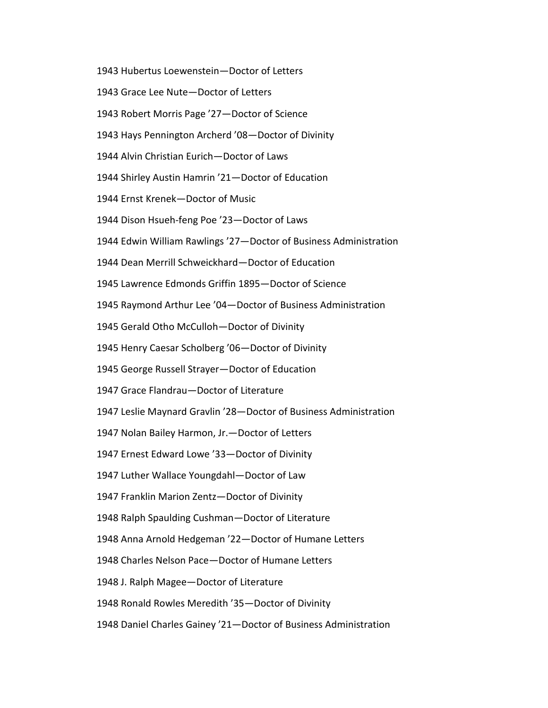1943 Hubertus Loewenstein—Doctor of Letters

1943 Grace Lee Nute—Doctor of Letters

1943 Robert Morris Page '27—Doctor of Science

1943 Hays Pennington Archerd '08—Doctor of Divinity

1944 Alvin Christian Eurich—Doctor of Laws

1944 Shirley Austin Hamrin '21—Doctor of Education

1944 Ernst Krenek—Doctor of Music

1944 Dison Hsueh-feng Poe '23—Doctor of Laws

1944 Edwin William Rawlings '27—Doctor of Business Administration

1944 Dean Merrill Schweickhard—Doctor of Education

1945 Lawrence Edmonds Griffin 1895—Doctor of Science

1945 Raymond Arthur Lee '04—Doctor of Business Administration

1945 Gerald Otho McCulloh—Doctor of Divinity

1945 Henry Caesar Scholberg '06—Doctor of Divinity

1945 George Russell Strayer—Doctor of Education

1947 Grace Flandrau—Doctor of Literature

1947 Leslie Maynard Gravlin '28—Doctor of Business Administration

1947 Nolan Bailey Harmon, Jr.—Doctor of Letters

1947 Ernest Edward Lowe '33—Doctor of Divinity

1947 Luther Wallace Youngdahl—Doctor of Law

1947 Franklin Marion Zentz—Doctor of Divinity

1948 Ralph Spaulding Cushman—Doctor of Literature

1948 Anna Arnold Hedgeman '22—Doctor of Humane Letters

1948 Charles Nelson Pace—Doctor of Humane Letters

1948 J. Ralph Magee—Doctor of Literature

1948 Ronald Rowles Meredith '35—Doctor of Divinity

1948 Daniel Charles Gainey '21—Doctor of Business Administration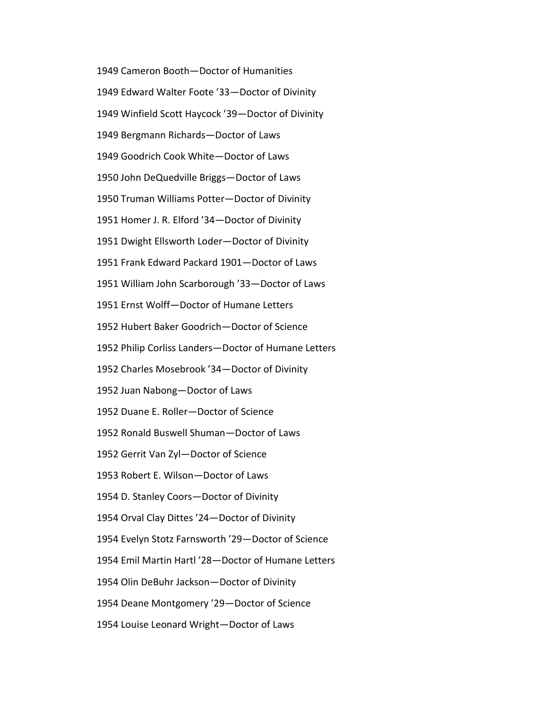1949 Cameron Booth—Doctor of Humanities 1949 Edward Walter Foote '33—Doctor of Divinity 1949 Winfield Scott Haycock '39—Doctor of Divinity 1949 Bergmann Richards—Doctor of Laws 1949 Goodrich Cook White—Doctor of Laws 1950 John DeQuedville Briggs—Doctor of Laws 1950 Truman Williams Potter—Doctor of Divinity 1951 Homer J. R. Elford '34—Doctor of Divinity 1951 Dwight Ellsworth Loder—Doctor of Divinity 1951 Frank Edward Packard 1901—Doctor of Laws 1951 William John Scarborough '33—Doctor of Laws 1951 Ernst Wolff—Doctor of Humane Letters 1952 Hubert Baker Goodrich—Doctor of Science 1952 Philip Corliss Landers—Doctor of Humane Letters 1952 Charles Mosebrook '34—Doctor of Divinity 1952 Juan Nabong—Doctor of Laws 1952 Duane E. Roller—Doctor of Science 1952 Ronald Buswell Shuman—Doctor of Laws 1952 Gerrit Van Zyl—Doctor of Science 1953 Robert E. Wilson—Doctor of Laws 1954 D. Stanley Coors—Doctor of Divinity 1954 Orval Clay Dittes '24—Doctor of Divinity 1954 Evelyn Stotz Farnsworth '29—Doctor of Science 1954 Emil Martin Hartl '28—Doctor of Humane Letters 1954 Olin DeBuhr Jackson—Doctor of Divinity 1954 Deane Montgomery '29—Doctor of Science 1954 Louise Leonard Wright—Doctor of Laws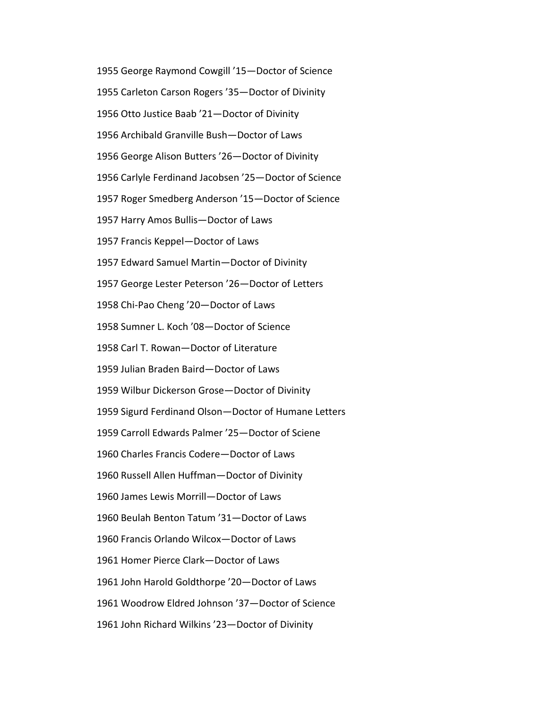1955 George Raymond Cowgill '15—Doctor of Science 1955 Carleton Carson Rogers '35—Doctor of Divinity 1956 Otto Justice Baab '21—Doctor of Divinity 1956 Archibald Granville Bush—Doctor of Laws 1956 George Alison Butters '26—Doctor of Divinity 1956 Carlyle Ferdinand Jacobsen '25—Doctor of Science 1957 Roger Smedberg Anderson '15—Doctor of Science 1957 Harry Amos Bullis—Doctor of Laws 1957 Francis Keppel—Doctor of Laws 1957 Edward Samuel Martin—Doctor of Divinity 1957 George Lester Peterson '26—Doctor of Letters 1958 Chi-Pao Cheng '20—Doctor of Laws 1958 Sumner L. Koch '08—Doctor of Science 1958 Carl T. Rowan—Doctor of Literature 1959 Julian Braden Baird—Doctor of Laws 1959 Wilbur Dickerson Grose—Doctor of Divinity 1959 Sigurd Ferdinand Olson—Doctor of Humane Letters 1959 Carroll Edwards Palmer '25—Doctor of Sciene 1960 Charles Francis Codere—Doctor of Laws 1960 Russell Allen Huffman—Doctor of Divinity 1960 James Lewis Morrill—Doctor of Laws 1960 Beulah Benton Tatum '31—Doctor of Laws 1960 Francis Orlando Wilcox—Doctor of Laws 1961 Homer Pierce Clark—Doctor of Laws 1961 John Harold Goldthorpe '20—Doctor of Laws 1961 Woodrow Eldred Johnson '37—Doctor of Science 1961 John Richard Wilkins '23—Doctor of Divinity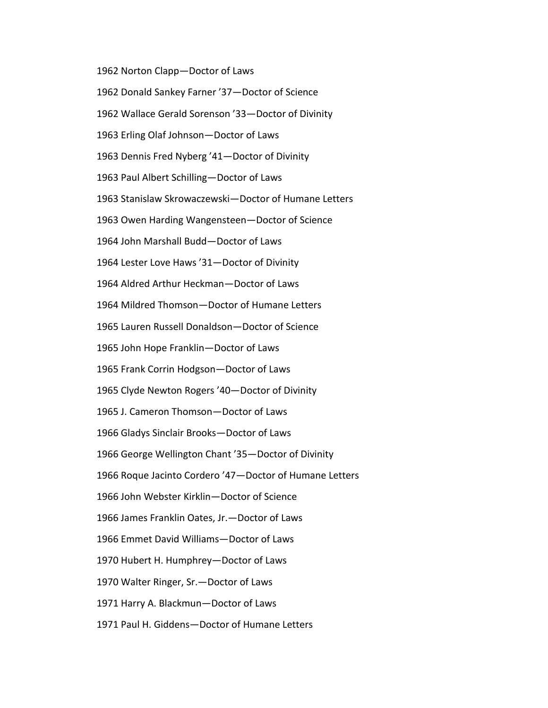1962 Norton Clapp—Doctor of Laws

1962 Donald Sankey Farner '37—Doctor of Science

1962 Wallace Gerald Sorenson '33—Doctor of Divinity

1963 Erling Olaf Johnson—Doctor of Laws

1963 Dennis Fred Nyberg '41—Doctor of Divinity

1963 Paul Albert Schilling—Doctor of Laws

1963 Stanislaw Skrowaczewski—Doctor of Humane Letters

1963 Owen Harding Wangensteen—Doctor of Science

1964 John Marshall Budd—Doctor of Laws

1964 Lester Love Haws '31—Doctor of Divinity

1964 Aldred Arthur Heckman—Doctor of Laws

1964 Mildred Thomson—Doctor of Humane Letters

1965 Lauren Russell Donaldson—Doctor of Science

1965 John Hope Franklin—Doctor of Laws

1965 Frank Corrin Hodgson—Doctor of Laws

1965 Clyde Newton Rogers '40—Doctor of Divinity

1965 J. Cameron Thomson—Doctor of Laws

1966 Gladys Sinclair Brooks—Doctor of Laws

1966 George Wellington Chant '35—Doctor of Divinity

1966 Roque Jacinto Cordero '47—Doctor of Humane Letters

1966 John Webster Kirklin—Doctor of Science

1966 James Franklin Oates, Jr.—Doctor of Laws

1966 Emmet David Williams—Doctor of Laws

1970 Hubert H. Humphrey—Doctor of Laws

1970 Walter Ringer, Sr.—Doctor of Laws

1971 Harry A. Blackmun—Doctor of Laws

1971 Paul H. Giddens—Doctor of Humane Letters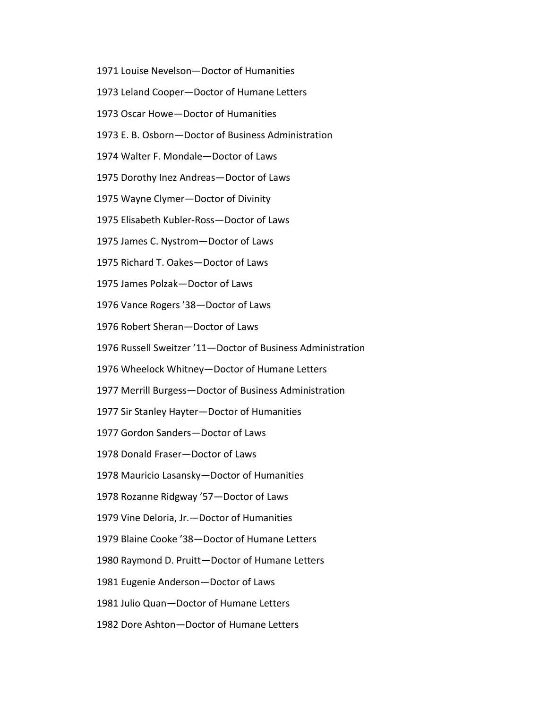- 1971 Louise Nevelson—Doctor of Humanities
- 1973 Leland Cooper—Doctor of Humane Letters
- 1973 Oscar Howe—Doctor of Humanities
- 1973 E. B. Osborn—Doctor of Business Administration
- 1974 Walter F. Mondale—Doctor of Laws
- 1975 Dorothy Inez Andreas—Doctor of Laws
- 1975 Wayne Clymer—Doctor of Divinity
- 1975 Elisabeth Kubler-Ross—Doctor of Laws
- 1975 James C. Nystrom—Doctor of Laws
- 1975 Richard T. Oakes—Doctor of Laws
- 1975 James Polzak—Doctor of Laws
- 1976 Vance Rogers '38—Doctor of Laws
- 1976 Robert Sheran—Doctor of Laws
- 1976 Russell Sweitzer '11—Doctor of Business Administration
- 1976 Wheelock Whitney—Doctor of Humane Letters
- 1977 Merrill Burgess—Doctor of Business Administration
- 1977 Sir Stanley Hayter—Doctor of Humanities
- 1977 Gordon Sanders—Doctor of Laws
- 1978 Donald Fraser—Doctor of Laws
- 1978 Mauricio Lasansky—Doctor of Humanities
- 1978 Rozanne Ridgway '57—Doctor of Laws
- 1979 Vine Deloria, Jr.—Doctor of Humanities
- 1979 Blaine Cooke '38—Doctor of Humane Letters
- 1980 Raymond D. Pruitt—Doctor of Humane Letters
- 1981 Eugenie Anderson—Doctor of Laws
- 1981 Julio Quan—Doctor of Humane Letters
- 1982 Dore Ashton—Doctor of Humane Letters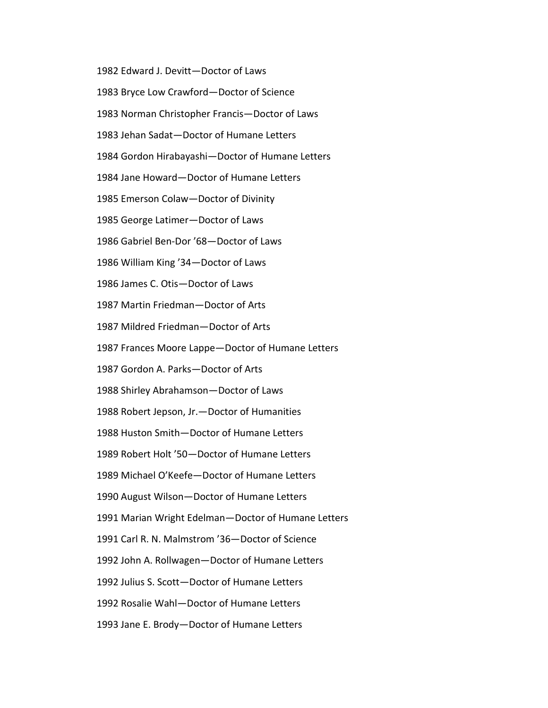1982 Edward J. Devitt—Doctor of Laws 1983 Bryce Low Crawford—Doctor of Science 1983 Norman Christopher Francis—Doctor of Laws 1983 Jehan Sadat—Doctor of Humane Letters 1984 Gordon Hirabayashi—Doctor of Humane Letters 1984 Jane Howard—Doctor of Humane Letters 1985 Emerson Colaw—Doctor of Divinity 1985 George Latimer—Doctor of Laws 1986 Gabriel Ben-Dor '68—Doctor of Laws 1986 William King '34—Doctor of Laws 1986 James C. Otis—Doctor of Laws 1987 Martin Friedman—Doctor of Arts 1987 Mildred Friedman—Doctor of Arts 1987 Frances Moore Lappe—Doctor of Humane Letters 1987 Gordon A. Parks—Doctor of Arts 1988 Shirley Abrahamson—Doctor of Laws 1988 Robert Jepson, Jr.—Doctor of Humanities 1988 Huston Smith—Doctor of Humane Letters 1989 Robert Holt '50—Doctor of Humane Letters 1989 Michael O'Keefe—Doctor of Humane Letters 1990 August Wilson—Doctor of Humane Letters 1991 Marian Wright Edelman—Doctor of Humane Letters 1991 Carl R. N. Malmstrom '36—Doctor of Science 1992 John A. Rollwagen—Doctor of Humane Letters 1992 Julius S. Scott—Doctor of Humane Letters 1992 Rosalie Wahl—Doctor of Humane Letters 1993 Jane E. Brody—Doctor of Humane Letters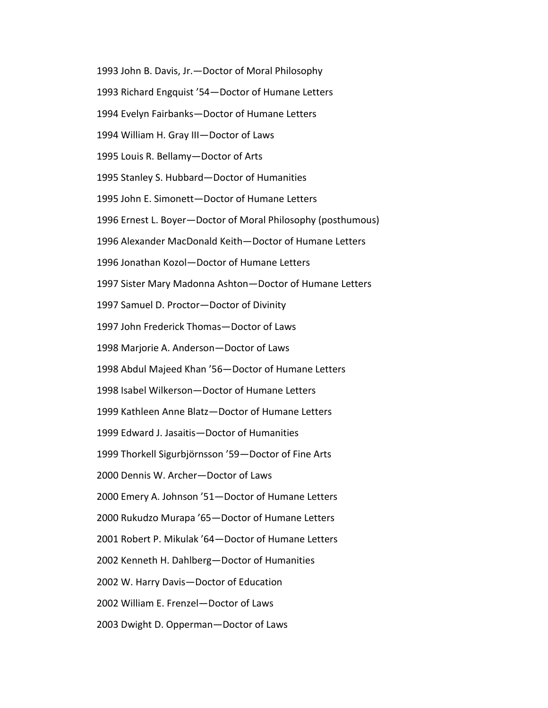1993 John B. Davis, Jr.—Doctor of Moral Philosophy 1993 Richard Engquist '54—Doctor of Humane Letters 1994 Evelyn Fairbanks—Doctor of Humane Letters 1994 William H. Gray III—Doctor of Laws 1995 Louis R. Bellamy—Doctor of Arts 1995 Stanley S. Hubbard—Doctor of Humanities 1995 John E. Simonett—Doctor of Humane Letters 1996 Ernest L. Boyer—Doctor of Moral Philosophy (posthumous) 1996 Alexander MacDonald Keith—Doctor of Humane Letters 1996 Jonathan Kozol—Doctor of Humane Letters 1997 Sister Mary Madonna Ashton—Doctor of Humane Letters 1997 Samuel D. Proctor—Doctor of Divinity 1997 John Frederick Thomas—Doctor of Laws 1998 Marjorie A. Anderson—Doctor of Laws 1998 Abdul Majeed Khan '56—Doctor of Humane Letters 1998 Isabel Wilkerson—Doctor of Humane Letters 1999 Kathleen Anne Blatz—Doctor of Humane Letters 1999 Edward J. Jasaitis—Doctor of Humanities 1999 Thorkell Sigurbjörnsson '59—Doctor of Fine Arts 2000 Dennis W. Archer—Doctor of Laws 2000 Emery A. Johnson '51—Doctor of Humane Letters 2000 Rukudzo Murapa '65—Doctor of Humane Letters 2001 Robert P. Mikulak '64—Doctor of Humane Letters 2002 Kenneth H. Dahlberg—Doctor of Humanities 2002 W. Harry Davis—Doctor of Education 2002 William E. Frenzel—Doctor of Laws 2003 Dwight D. Opperman—Doctor of Laws